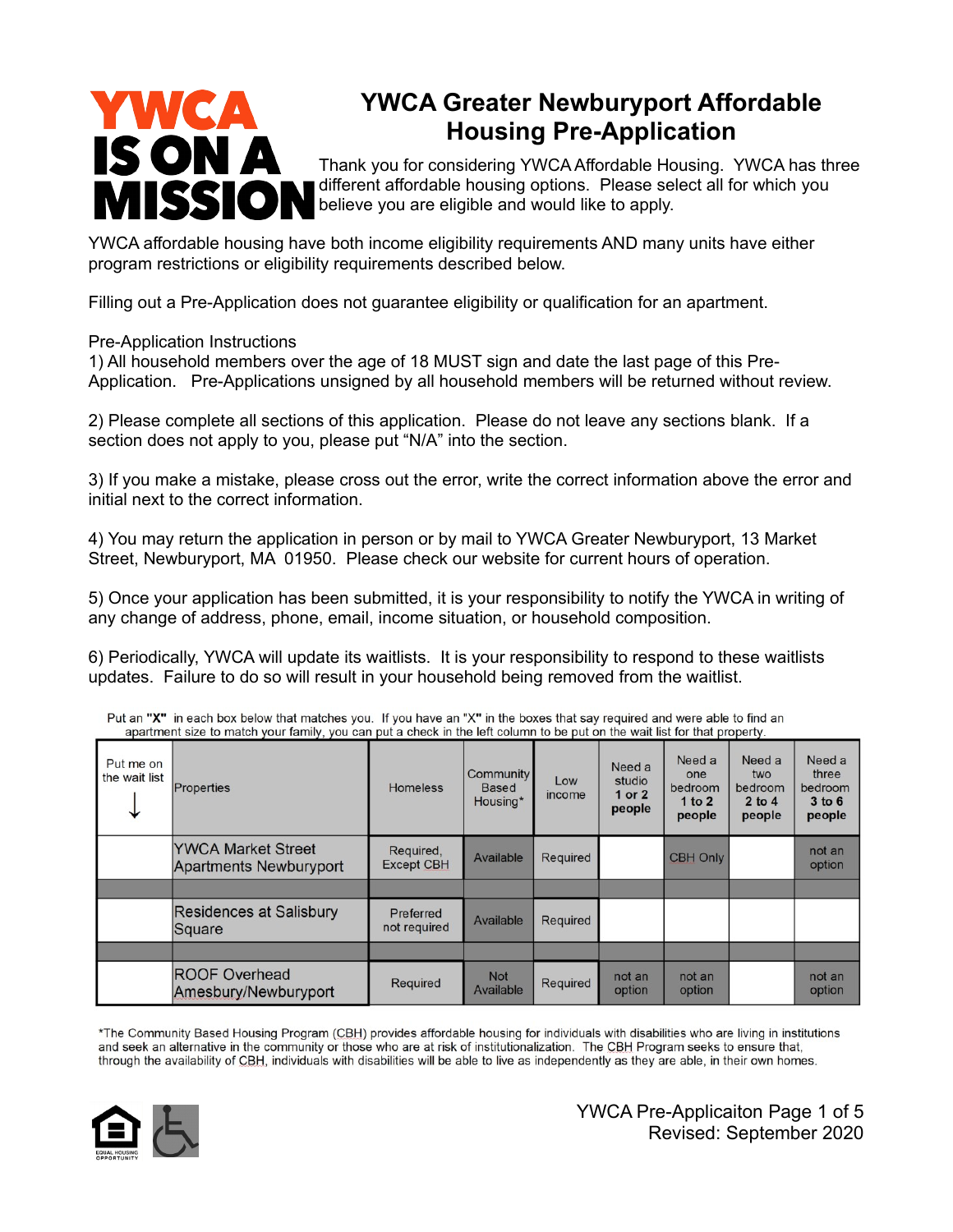# YWCA **IS ON A** MISSION

# **YWCA Greater Newburyport Affordable Housing Pre-Application**

Thank you for considering YWCA Affordable Housing. YWCA has three different affordable housing options. Please select all for which you believe you are eligible and would like to apply.

YWCA affordable housing have both income eligibility requirements AND many units have either program restrictions or eligibility requirements described below.

Filling out a Pre-Application does not guarantee eligibility or qualification for an apartment.

#### Pre-Application Instructions

1) All household members over the age of 18 MUST sign and date the last page of this Pre-Application. Pre-Applications unsigned by all household members will be returned without review.

2) Please complete all sections of this application. Please do not leave any sections blank. If a section does not apply to you, please put "N/A" into the section.

3) If you make a mistake, please cross out the error, write the correct information above the error and initial next to the correct information.

4) You may return the application in person or by mail to YWCA Greater Newburyport, 13 Market Street, Newburyport, MA 01950. Please check our website for current hours of operation.

5) Once your application has been submitted, it is your responsibility to notify the YWCA in writing of any change of address, phone, email, income situation, or household composition.

6) Periodically, YWCA will update its waitlists. It is your responsibility to respond to these waitlists updates. Failure to do so will result in your household being removed from the waitlist.

|                            | apartment size to match your lamily, you can put a check in the left column to be put on the wait list for that property. |                                |                                       |               |                                      |                                                |                                                  |                                                    |
|----------------------------|---------------------------------------------------------------------------------------------------------------------------|--------------------------------|---------------------------------------|---------------|--------------------------------------|------------------------------------------------|--------------------------------------------------|----------------------------------------------------|
| Put me on<br>the wait list | Properties                                                                                                                | <b>Homeless</b>                | Community<br><b>Based</b><br>Housing* | Low<br>income | Need a<br>studio<br>1 or 2<br>people | Need a<br>one<br>bedroom<br>1 to $2$<br>people | Need a<br>two<br>bedroom<br>$2$ to $4$<br>people | Need a<br>three<br>bedroom<br>$3$ to $6$<br>people |
|                            | <b>YWCA Market Street</b><br>Apartments Newburyport                                                                       | Required,<br><b>Except CBH</b> | Available                             | Required      |                                      | <b>CBH Only</b>                                |                                                  | not an<br>option                                   |
|                            |                                                                                                                           |                                |                                       |               |                                      |                                                |                                                  |                                                    |
|                            | <b>Residences at Salisbury</b><br>Square                                                                                  | Preferred<br>not required      | Available                             | Required      |                                      |                                                |                                                  |                                                    |
|                            |                                                                                                                           |                                |                                       |               |                                      |                                                |                                                  |                                                    |
|                            | <b>ROOF Overhead</b><br>Amesbury/Newburyport                                                                              | Required                       | <b>Not</b><br>Available               | Required      | not an<br>option                     | not an<br>option                               |                                                  | not an<br>option                                   |

Put an "X" in each box below that matches you. If you have an "X" in the boxes that say required and were able to find an

\*The Community Based Housing Program (CBH) provides affordable housing for individuals with disabilities who are living in institutions and seek an alternative in the community or those who are at risk of institutionalization. The CBH Program seeks to ensure that, through the availability of CBH, individuals with disabilities will be able to live as independently as they are able, in their own homes.

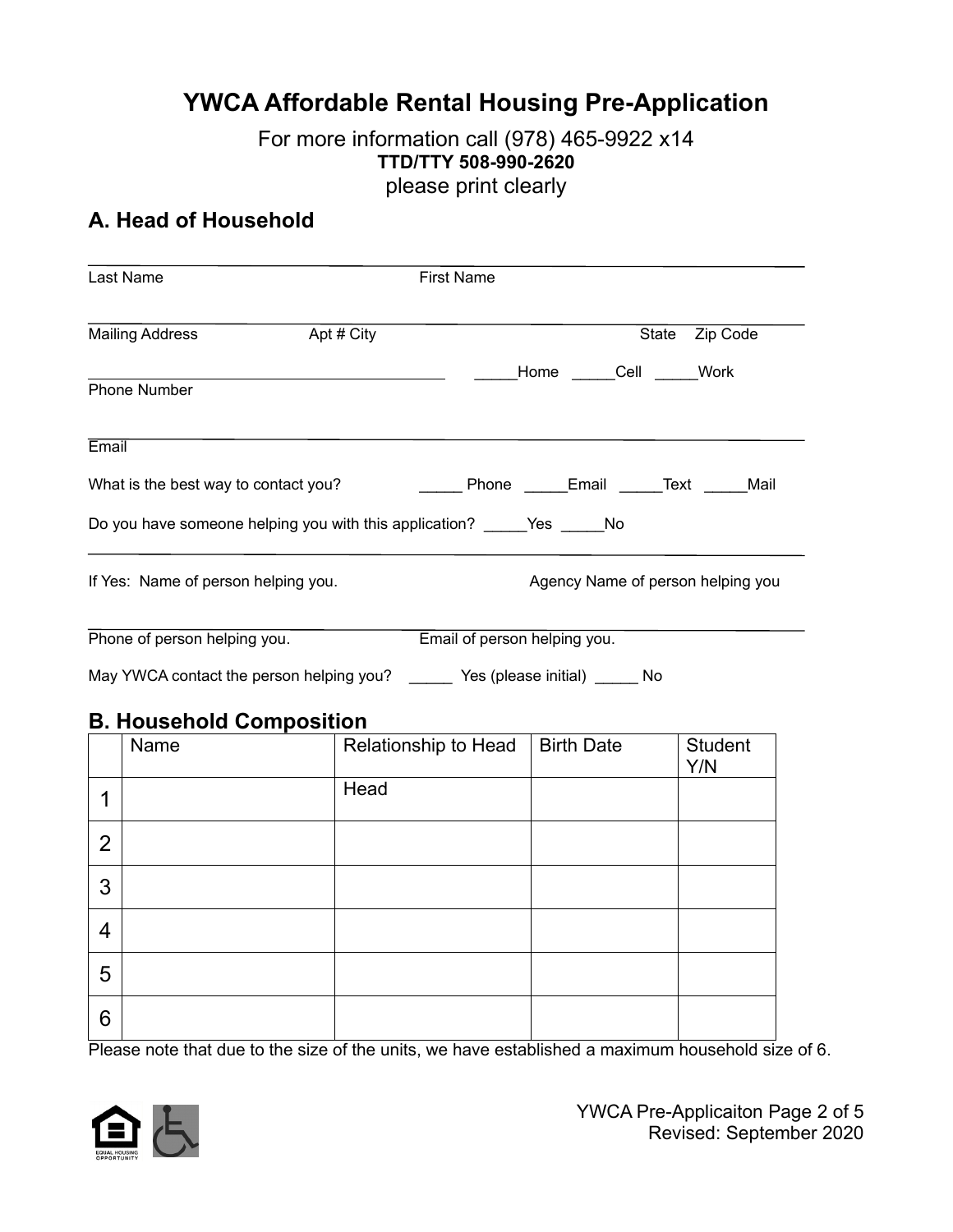# **YWCA Affordable Rental Housing Pre-Application**

#### For more information call (978) 465-9922 x14 **TTD/TTY 508-990-2620** please print clearly

# **A. Head of Household**

|                | Last Name                            |                                                                             | <b>First Name</b>                                                                                             |                                   |
|----------------|--------------------------------------|-----------------------------------------------------------------------------|---------------------------------------------------------------------------------------------------------------|-----------------------------------|
|                | <b>Mailing Address</b>               | Apt # City                                                                  |                                                                                                               | State Zip Code                    |
|                | <b>Phone Number</b>                  |                                                                             | Home Cell Work                                                                                                |                                   |
| Email          |                                      |                                                                             |                                                                                                               |                                   |
|                | What is the best way to contact you? |                                                                             |                                                                                                               |                                   |
|                |                                      | Do you have someone helping you with this application? ______ Yes ______ No |                                                                                                               |                                   |
|                | If Yes: Name of person helping you.  |                                                                             |                                                                                                               | Agency Name of person helping you |
|                | Phone of person helping you.         |                                                                             | Email of person helping you.<br>May YWCA contact the person helping you? ______ Yes (please initial) _____ No |                                   |
|                | <b>B. Household Composition</b>      |                                                                             |                                                                                                               |                                   |
|                | Name                                 |                                                                             | Relationship to Head   Birth Date                                                                             | <b>Student</b><br>Y/N             |
| $\mathbf{1}$   |                                      | Head                                                                        |                                                                                                               |                                   |
| $\overline{2}$ |                                      |                                                                             |                                                                                                               |                                   |
| 3              |                                      |                                                                             |                                                                                                               |                                   |
| 4              |                                      |                                                                             |                                                                                                               |                                   |
| 5              |                                      |                                                                             |                                                                                                               |                                   |
| 6              |                                      |                                                                             |                                                                                                               |                                   |

Please note that due to the size of the units, we have established a maximum household size of 6.

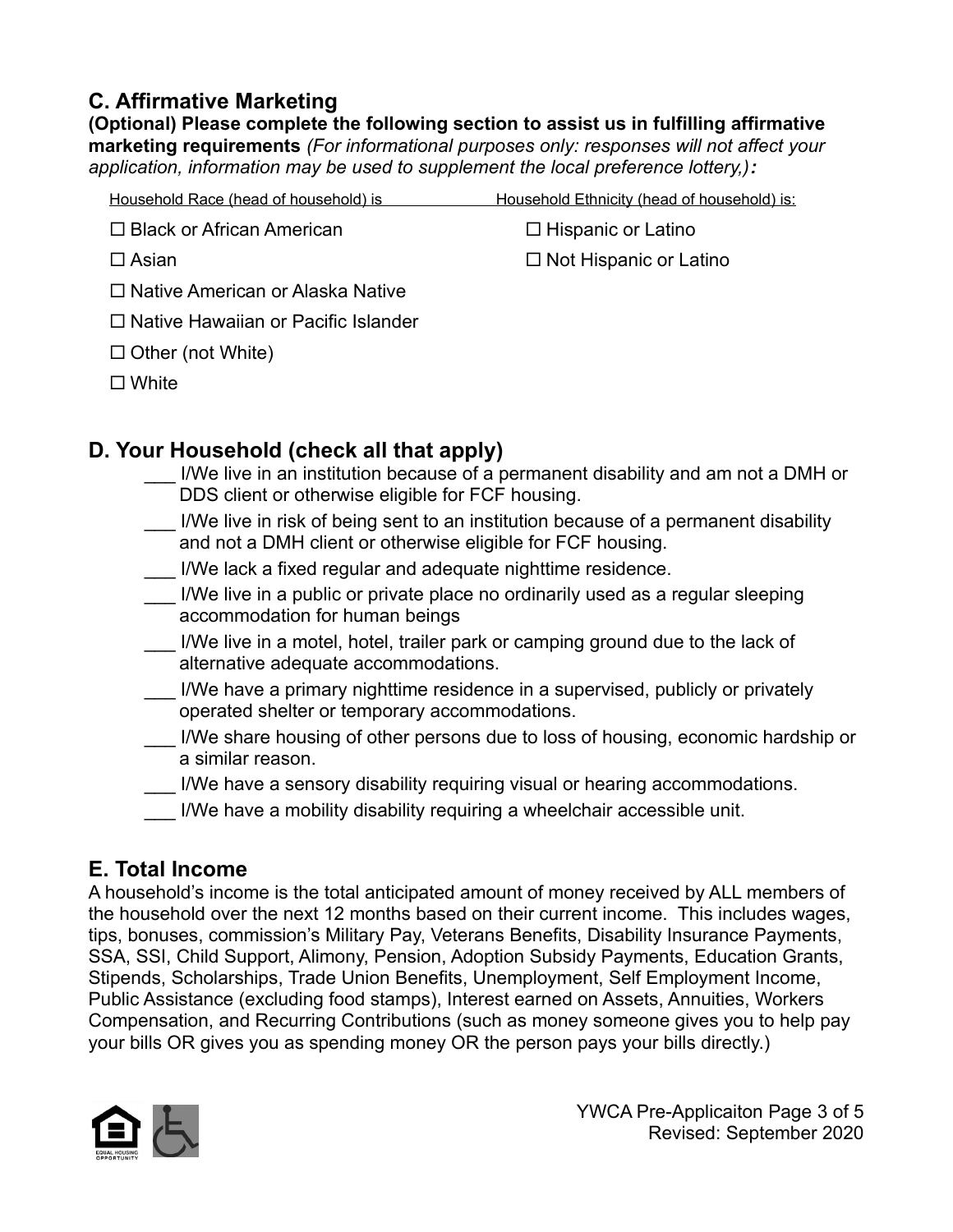## **C. Affirmative Marketing**

**(Optional) Please complete the following section to assist us in fulfilling affirmative marketing requirements** *(For informational purposes only: responses will not affect your application, information may be used to supplement the local preference lottery,):*

| Household Race (head of household) is      | Household Ethnicity (head of household) is: |
|--------------------------------------------|---------------------------------------------|
| $\Box$ Black or African American           | $\Box$ Hispanic or Latino                   |
| $\Box$ Asian                               | $\Box$ Not Hispanic or Latino               |
| $\Box$ Native American or Alaska Native    |                                             |
| $\Box$ Native Hawaiian or Pacific Islander |                                             |
| $\Box$ Other (not White)                   |                                             |
| $\Box$ White                               |                                             |

## **D. Your Household (check all that apply)**

- I/We live in an institution because of a permanent disability and am not a DMH or DDS client or otherwise eligible for FCF housing.
- I/We live in risk of being sent to an institution because of a permanent disability and not a DMH client or otherwise eligible for FCF housing.
- I/We lack a fixed regular and adequate nighttime residence.
- I/We live in a public or private place no ordinarily used as a regular sleeping accommodation for human beings
- I/We live in a motel, hotel, trailer park or camping ground due to the lack of alternative adequate accommodations.
- I/We have a primary nighttime residence in a supervised, publicly or privately operated shelter or temporary accommodations.
- I/We share housing of other persons due to loss of housing, economic hardship or a similar reason.
- I/We have a sensory disability requiring visual or hearing accommodations.
- I/We have a mobility disability requiring a wheelchair accessible unit.

# **E. Total Income**

A household's income is the total anticipated amount of money received by ALL members of the household over the next 12 months based on their current income. This includes wages, tips, bonuses, commission's Military Pay, Veterans Benefits, Disability Insurance Payments, SSA, SSI, Child Support, Alimony, Pension, Adoption Subsidy Payments, Education Grants, Stipends, Scholarships, Trade Union Benefits, Unemployment, Self Employment Income, Public Assistance (excluding food stamps), Interest earned on Assets, Annuities, Workers Compensation, and Recurring Contributions (such as money someone gives you to help pay your bills OR gives you as spending money OR the person pays your bills directly.)

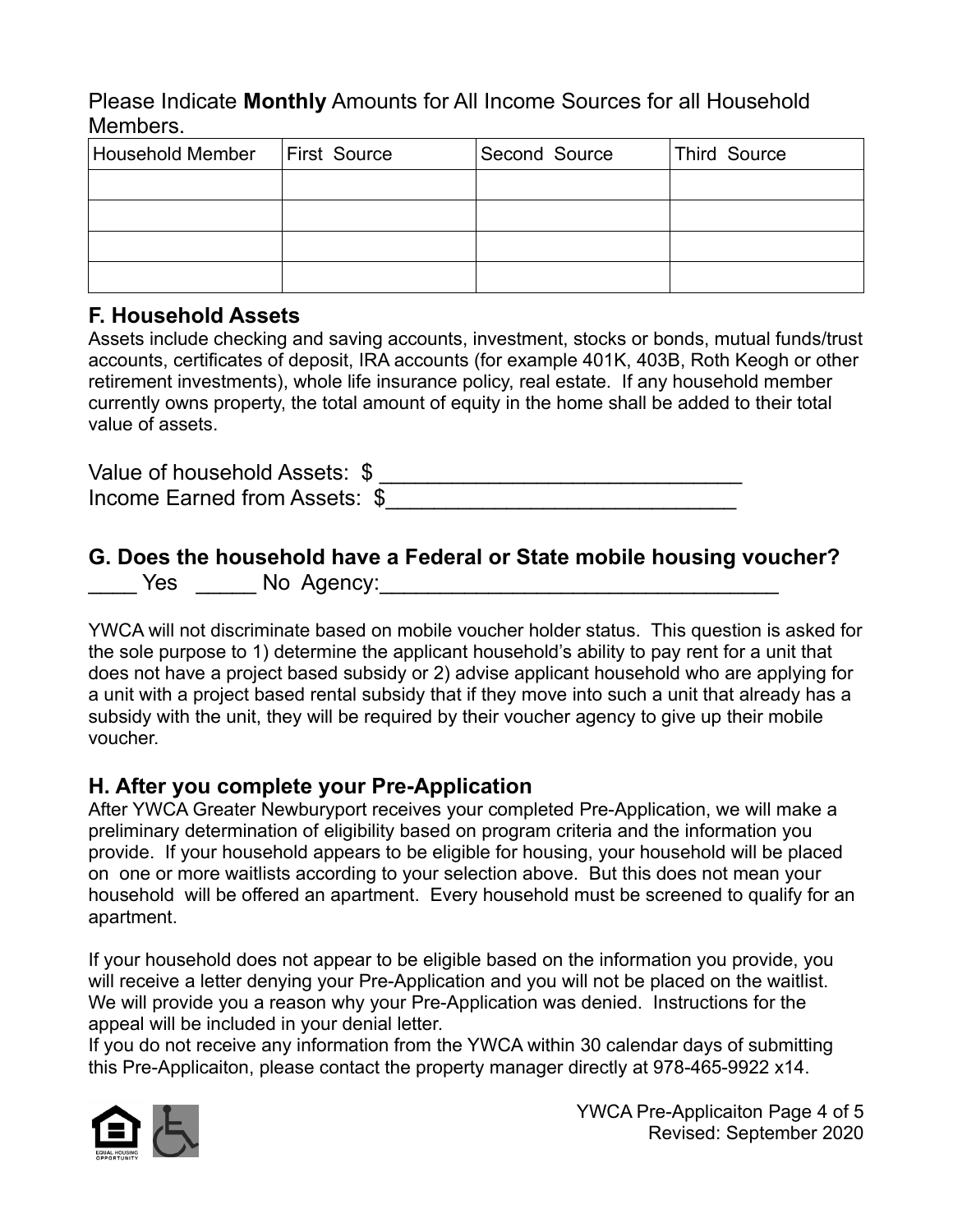Please Indicate **Monthly** Amounts for All Income Sources for all Household Members.

| <b>Household Member</b> | First Source | Second Source | <b>Third Source</b> |
|-------------------------|--------------|---------------|---------------------|
|                         |              |               |                     |
|                         |              |               |                     |
|                         |              |               |                     |
|                         |              |               |                     |

#### **F. Household Assets**

Assets include checking and saving accounts, investment, stocks or bonds, mutual funds/trust accounts, certificates of deposit, IRA accounts (for example 401K, 403B, Roth Keogh or other retirement investments), whole life insurance policy, real estate. If any household member currently owns property, the total amount of equity in the home shall be added to their total value of assets.

| Value of household Assets: \$ |  |
|-------------------------------|--|
| Income Earned from Assets: \$ |  |

#### **G. Does the household have a Federal or State mobile housing voucher?** \_\_\_\_ Yes \_\_\_\_\_ No Agency:\_\_\_\_\_\_\_\_\_\_\_\_\_\_\_\_\_\_\_\_\_\_\_\_\_\_\_\_\_\_\_\_\_

YWCA will not discriminate based on mobile voucher holder status. This question is asked for the sole purpose to 1) determine the applicant household's ability to pay rent for a unit that does not have a project based subsidy or 2) advise applicant household who are applying for a unit with a project based rental subsidy that if they move into such a unit that already has a subsidy with the unit, they will be required by their voucher agency to give up their mobile voucher.

#### **H. After you complete your Pre-Application**

After YWCA Greater Newburyport receives your completed Pre-Application, we will make a preliminary determination of eligibility based on program criteria and the information you provide. If your household appears to be eligible for housing, your household will be placed on one or more waitlists according to your selection above. But this does not mean your household will be offered an apartment. Every household must be screened to qualify for an apartment.

If your household does not appear to be eligible based on the information you provide, you will receive a letter denying your Pre-Application and you will not be placed on the waitlist. We will provide you a reason why your Pre-Application was denied. Instructions for the appeal will be included in your denial letter.

If you do not receive any information from the YWCA within 30 calendar days of submitting this Pre-Applicaiton, please contact the property manager directly at 978-465-9922 x14.



YWCA Pre-Applicaiton Page 4 of 5 Revised: September 2020